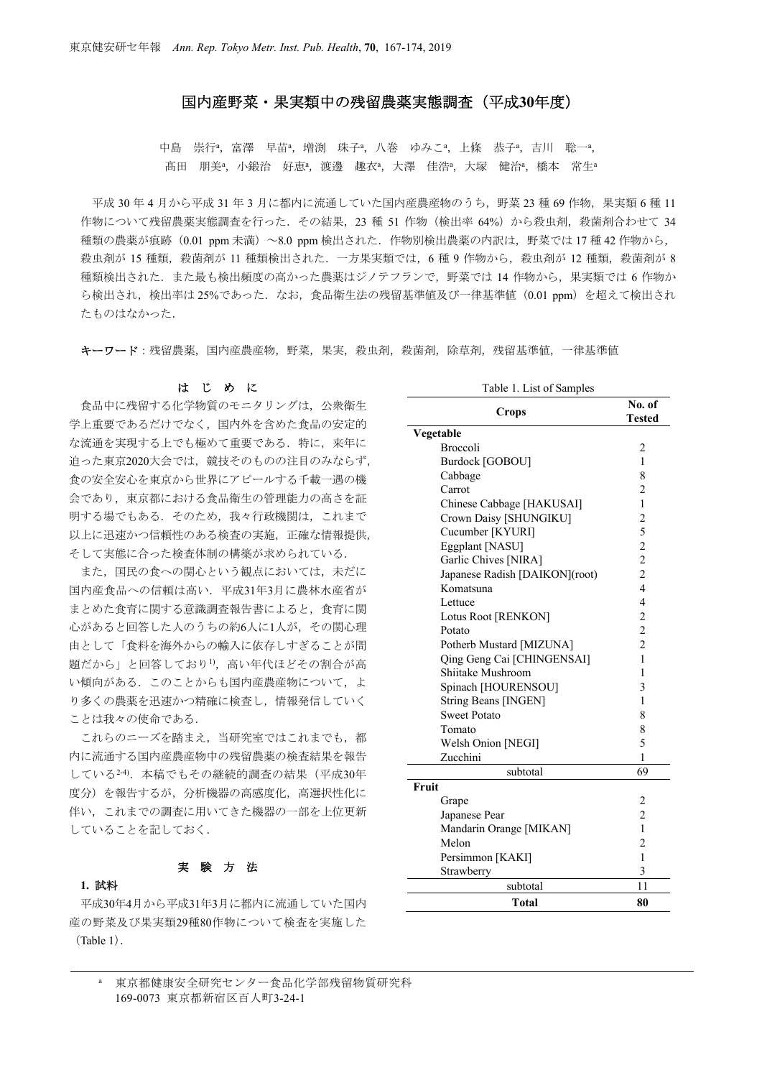## 国内産野菜・果実類中の残留農薬実態調査(平成**30**年度)

中島 崇行ª,富澤 早苗ª,増渕 珠子ª,八巻 ゆみこª,上條 恭子ª,吉川 聡一ª, 髙田 朋美ª,小鍛治 好恵ª,渡邊 趣衣ª,大澤 佳浩ª,大塚 健治ª,橋本 常生ª

平成 30年4月から平成 31年3月に都内に流通していた国内産農産物のうち、野菜 23種 69作物、果実類6種11 作物について残留農薬実熊調査を行った. その結果, 23 種 51 作物(検出率 64%) から殺虫剤, 殺菌剤合わせて 34 種類の農薬が痕跡(0.01 ppm 未満)~8.0 ppm 検出された.作物別検出農薬の内訳は,野菜では 17 種 42 作物から, 殺虫剤が 15 種類,殺菌剤が 11 種類検出された. 一方果実類では、6種 9 作物から,殺虫剤が 12 種類,殺菌剤が 8 種類検出された.また最も検出頻度の高かった農薬はジノテフランで,野菜では 14 作物から,果実類では 6 作物か ら検出され,検出率は 25%であった. なお,食品衛生法の残留基準値及び一律基準値 (0.01 ppm)を超えて検出され たものはなかった.

キーワード:残留農薬,国内産農産物,野菜,果実,殺虫剤,殺菌剤,除草剤,残留基準値,一律基準値

### はじめに

食品中に残留する化学物質のモニタリングは、公衆衛生 学上重要であるだけでなく,国内外を含めた食品の安定的 な流通を実現する上でも極めて重要である.特に,来年に 迫った東京2020大会では,競技そのものの注目のみならず, 食の安全安心を東京から世界にアピールする千載一遇の機 会であり,東京都における食品衛生の管理能力の高さを証 明する場でもある.そのため,我々行政機関は,これまで 以上に迅速かつ信頼性のある検査の実施,正確な情報提供, そして実態に合った検査体制の構築が求められている.

また、国民の食への関心という観点においては、未だに 国内産食品への信頼は高い.平成31年3月に農林水産省が まとめた食育に関する意識調査報告書によると,食育に関 心があると回答した人のうちの約6人に1人が,その関心理 由として「食料を海外からの輸入に依存しすぎることが問 題だから」と回答しており1), 高い年代ほどその割合が高 い傾向がある. このことからも国内産農産物について、よ り多くの農薬を迅速かつ精確に検査し,情報発信していく ことは我々の使命である.

これらのニーズを踏まえ、当研究室ではこれまでも、都 内に流通する国内産農産物中の残留農薬の検査結果を報告 している2-4). 本稿でもその継続的調査の結果(平成30年 度分)を報告するが、分析機器の高感度化,高選択性化に 伴い,これまでの調査に用いてきた機器の一部を上位更新 していることを記しておく.

# 実験方法

## **1.** 試料

平成30年4月から平成31年3月に都内に流通していた国内 産の野菜及び果実類29種80作物について検査を実施した (Table 1).

| Table 1. List of Samples       |                                            |
|--------------------------------|--------------------------------------------|
| <b>Crops</b>                   | No. of<br><b>Tested</b>                    |
| Vegetable                      |                                            |
| Broccoli                       | $\overline{2}$                             |
| Burdock [GOBOU]                | 1                                          |
| Cabbage                        | 8                                          |
| Carrot                         | 2                                          |
| Chinese Cabbage [HAKUSAI]      | $\mathbf{1}$                               |
| Crown Daisy [SHUNGIKU]         | $\overline{2}$                             |
| Cucumber [KYURI]               | 5                                          |
| Eggplant [NASU]                | $\overline{c}$                             |
| Garlic Chives [NIRA]           |                                            |
| Japanese Radish [DAIKON](root) |                                            |
| Komatsuna                      | $\begin{array}{c} 2 \\ 2 \\ 4 \end{array}$ |
| Lettuce                        | $\overline{4}$                             |
| Lotus Root [RENKON]            | $\overline{c}$                             |
| Potato                         | $\overline{c}$                             |
| Potherb Mustard [MIZUNA]       | $\overline{c}$                             |
| Qing Geng Cai [CHINGENSAI]     | 1                                          |
| Shiitake Mushroom              | 1                                          |
| Spinach [HOURENSOU]            | 3                                          |
| <b>String Beans [INGEN]</b>    | 1                                          |
| <b>Sweet Potato</b>            | 8                                          |
| Tomato                         | 8                                          |
| Welsh Onion [NEGI]             | 5                                          |
| Zucchini                       | 1                                          |
| subtotal                       | 69                                         |
| Fruit                          |                                            |
| Grape                          | 2                                          |
| Japanese Pear                  | $\overline{c}$                             |
| Mandarin Orange [MIKAN]        | 1                                          |
| Melon                          | $\overline{2}$                             |
| Persimmon [KAKI]               | 1                                          |
| Strawberry                     | 3                                          |
| subtotal                       | 11                                         |
| Total                          | 80                                         |

<sup>a</sup>東京都健康安全研究センター食品化学部残留物質研究科 169-0073 東京都新宿区百人町3-24-1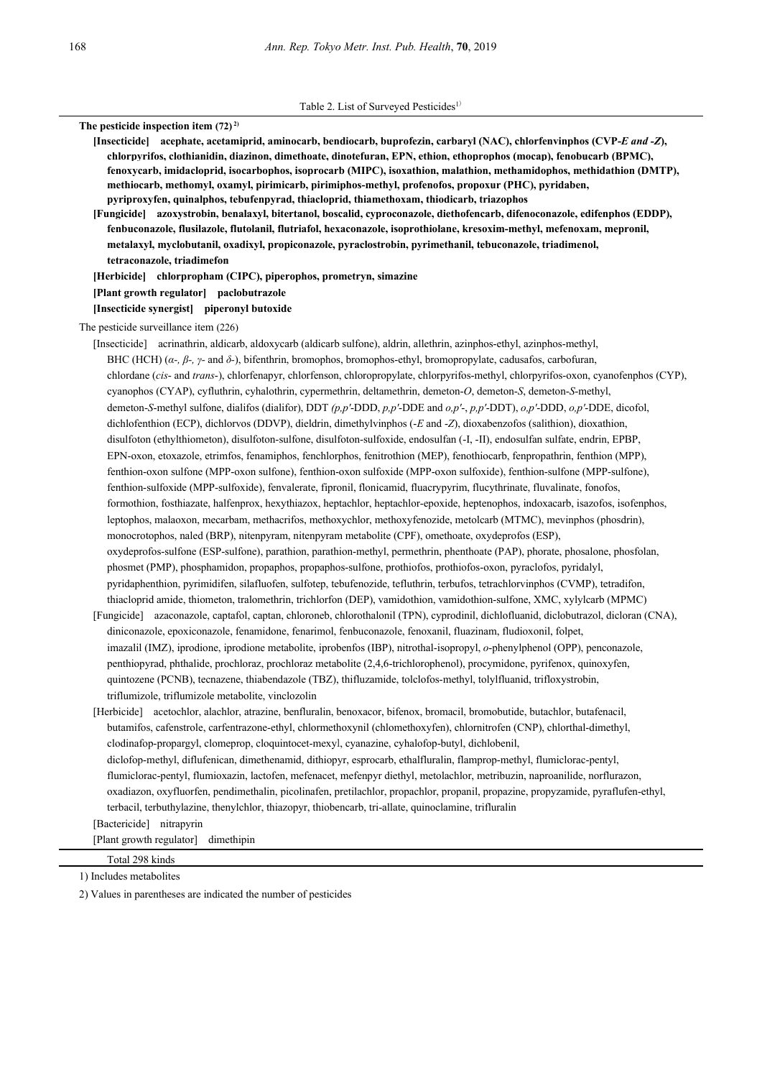Table 2. List of Surveyed Pesticides<sup>1)</sup>

**The pesticide inspection item (72) 2) [Insecticide] acephate, acetamiprid, aminocarb, bendiocarb, buprofezin, carbaryl (NAC), chlorfenvinphos (CVP-***E and -Z***), chlorpyrifos, clothianidin, diazinon, dimethoate, dinotefuran, EPN, ethion, ethoprophos (mocap), fenobucarb (BPMC), fenoxycarb, imidacloprid, isocarbophos, isoprocarb (MIPC), isoxathion, malathion, methamidophos, methidathion (DMTP), methiocarb, methomyl, oxamyl, pirimicarb, pirimiphos-methyl, profenofos, propoxur (PHC), pyridaben, pyriproxyfen, quinalphos, tebufenpyrad, thiacloprid, thiamethoxam, thiodicarb, triazophos [Fungicide] azoxystrobin, benalaxyl, bitertanol, boscalid, cyproconazole, diethofencarb, difenoconazole, edifenphos (EDDP), fenbuconazole, flusilazole, flutolanil, flutriafol, hexaconazole, isoprothiolane, kresoxim-methyl, mefenoxam, mepronil, metalaxyl, myclobutanil, oxadixyl, propiconazole, pyraclostrobin, pyrimethanil, tebuconazole, triadimenol, tetraconazole, triadimefon [Herbicide] chlorpropham (CIPC), piperophos, prometryn, simazine [Plant growth regulator] paclobutrazole [Insecticide synergist] piperonyl butoxide**  The pesticide surveillance item (226) [Insecticide] acrinathrin, aldicarb, aldoxycarb (aldicarb sulfone), aldrin, allethrin, azinphos-ethyl, azinphos-methyl, BHC (HCH) (*α-, β-, γ-* and *δ-*), bifenthrin, bromophos, bromophos-ethyl, bromopropylate, cadusafos, carbofuran, chlordane (*cis*- and *trans*-), chlorfenapyr, chlorfenson, chloropropylate, chlorpyrifos-methyl, chlorpyrifos-oxon, cyanofenphos (CYP), cyanophos (CYAP), cyfluthrin, cyhalothrin, cypermethrin, deltamethrin, demeton-*O*, demeton-*S*, demeton-*S*-methyl, demeton-*S*-methyl sulfone, dialifos (dialifor), DDT *(p,p'*-DDD, *p,p'*-DDE and *o,p'*-, *p,p'*-DDT), *o,p'*-DDD, *o,p'*-DDE, dicofol, dichlofenthion (ECP), dichlorvos (DDVP), dieldrin, dimethylvinphos (-*E* and -*Z*), dioxabenzofos (salithion), dioxathion, disulfoton (ethylthiometon), disulfoton-sulfone, disulfoton-sulfoxide, endosulfan (-I, -II), endosulfan sulfate, endrin, EPBP, EPN-oxon, etoxazole, etrimfos, fenamiphos, fenchlorphos, fenitrothion (MEP), fenothiocarb, fenpropathrin, fenthion (MPP), fenthion-oxon sulfone (MPP-oxon sulfone), fenthion-oxon sulfoxide (MPP-oxon sulfoxide), fenthion-sulfone (MPP-sulfone), fenthion-sulfoxide (MPP-sulfoxide), fenvalerate, fipronil, flonicamid, fluacrypyrim, flucythrinate, fluvalinate, fonofos, formothion, fosthiazate, halfenprox, hexythiazox, heptachlor, heptachlor-epoxide, heptenophos, indoxacarb, isazofos, isofenphos, leptophos, malaoxon, mecarbam, methacrifos, methoxychlor, methoxyfenozide, metolcarb (MTMC), mevinphos (phosdrin), monocrotophos, naled (BRP), nitenpyram, nitenpyram metabolite (CPF), omethoate, oxydeprofos (ESP), oxydeprofos-sulfone (ESP-sulfone), parathion, parathion-methyl, permethrin, phenthoate (PAP), phorate, phosalone, phosfolan, phosmet (PMP), phosphamidon, propaphos, propaphos-sulfone, prothiofos, prothiofos-oxon, pyraclofos, pyridalyl, pyridaphenthion, pyrimidifen, silafluofen, sulfotep, tebufenozide, tefluthrin, terbufos, tetrachlorvinphos (CVMP), tetradifon, thiacloprid amide, thiometon, tralomethrin, trichlorfon (DEP), vamidothion, vamidothion-sulfone, XMC, xylylcarb (MPMC) [Fungicide] azaconazole, captafol, captan, chloroneb, chlorothalonil (TPN), cyprodinil, dichlofluanid, diclobutrazol, dicloran (CNA), diniconazole, epoxiconazole, fenamidone, fenarimol, fenbuconazole, fenoxanil, fluazinam, fludioxonil, folpet, imazalil (IMZ), iprodione, iprodione metabolite, iprobenfos (IBP), nitrothal-isopropyl, *o*-phenylphenol (OPP), penconazole, penthiopyrad, phthalide, prochloraz, prochloraz metabolite (2,4,6-trichlorophenol), procymidone, pyrifenox, quinoxyfen, quintozene (PCNB), tecnazene, thiabendazole (TBZ), thifluzamide, tolclofos-methyl, tolylfluanid, trifloxystrobin, triflumizole, triflumizole metabolite, vinclozolin [Herbicide] acetochlor, alachlor, atrazine, benfluralin, benoxacor, bifenox, bromacil, bromobutide, butachlor, butafenacil, butamifos, cafenstrole, carfentrazone-ethyl, chlormethoxynil (chlomethoxyfen), chlornitrofen (CNP), chlorthal-dimethyl, clodinafop-propargyl, clomeprop, cloquintocet-mexyl, cyanazine, cyhalofop-butyl, dichlobenil, diclofop-methyl, diflufenican, dimethenamid, dithiopyr, esprocarb, ethalfluralin, flamprop-methyl, flumiclorac-pentyl, flumiclorac-pentyl, flumioxazin, lactofen, mefenacet, mefenpyr diethyl, metolachlor, metribuzin, naproanilide, norflurazon, oxadiazon, oxyfluorfen, pendimethalin, picolinafen, pretilachlor, propachlor, propanil, propazine, propyzamide, pyraflufen-ethyl, terbacil, terbuthylazine, thenylchlor, thiazopyr, thiobencarb, tri-allate, quinoclamine, trifluralin [Bactericide] nitrapyrin [Plant growth regulator] dimethipin

1) Includes metabolites

Total 298 kinds

2) Values in parentheses are indicated the number of pesticides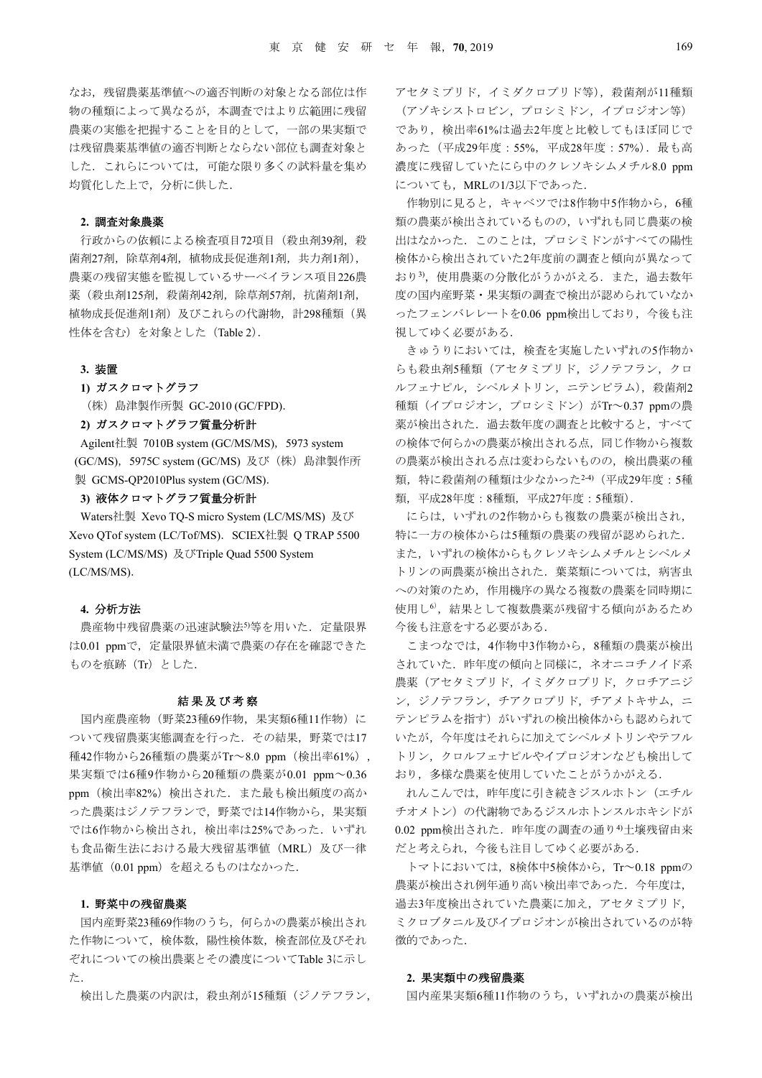なお,残留農薬基準値への適否判断の対象となる部位は作 物の種類によって異なるが,本調査ではより広範囲に残留 農薬の実態を把握することを目的として,一部の果実類で は残留農薬基準値の適否判断とならない部位も調査対象と した. これらについては、可能な限り多くの試料量を集め 均質化した上で,分析に供した.

#### **2.** 調査対象農薬

行政からの依頼による検査項目72項目 (殺虫剤39剤, 殺 菌剤27剤,除草剤4剤,植物成長促進剤1剤,共力剤1剤), 農薬の残留実態を監視しているサーベイランス項目226農 薬(殺虫剤125剤,殺菌剤42剤,除草剤57剤,抗菌剤1剤, 植物成長促進剤1剤)及びこれらの代謝物,計298種類(異 性体を含む)を対象とした(Table 2).

#### **3.** 装置

### **1)** ガスクロマトグラフ

(株)島津製作所製 GC-2010 (GC/FPD).

## **2)** ガスクロマトグラフ質量分析計

Agilent社製 7010B system (GC/MS/MS), 5973 system (GC/MS),5975C system (GC/MS) 及び(株)島津製作所 製 GCMS-QP2010Plus system (GC/MS).

# **3)** 液体クロマトグラフ質量分析計

Waters社製 Xevo TQ-S micro System (LC/MS/MS) 及び Xevo QTof system (LC/Tof/MS). SCIEX社製 Q TRAP 5500 System (LC/MS/MS) 及びTriple Quad 5500 System (LC/MS/MS).

## **4.** 分析方法

農産物中残留農薬の迅速試験法5等を用いた. 定量限界 は0.01 ppmで、定量限界値未満で農薬の存在を確認できた ものを痕跡 (Tr) とした.

#### 結果及び考察

 国内産農産物(野菜23種69作物,果実類6種11作物)に ついて残留農薬実態調査を行った.その結果,野菜では17 種42作物から26種類の農薬がTr~8.0 ppm(検出率61%), 果実類では6種9作物から20種類の農薬が0.01 ppm~0.36 ppm (検出率82%)検出された. また最も検出頻度の高か った農薬はジノテフランで,野菜では14作物から,果実類 では6作物から検出され,検出率は25%であった.いずれ も食品衛生法における最大残留基準値(MRL)及び一律 基準値(0.01 ppm)を超えるものはなかった.

## **1.** 野菜中の残留農薬

国内産野菜23種69作物のうち,何らかの農薬が検出され た作物について,検体数,陽性検体数,検査部位及びそれ ぞれについての検出農薬とその濃度についてTable 3に示し た.

検出した農薬の内訳は,殺虫剤が15種類(ジノテフラン,

アセタミプリド,イミダクロプリド等),殺菌剤が11種類 (アゾキシストロビン,プロシミドン,イプロジオン等) であり、検出率61%は過去2年度と比較してもほぼ同じで あった(平成29年度:55%,平成28年度:57%).最も高 濃度に残留していたにら中のクレソキシムメチル8.0 ppm についても, MRLの1/3以下であった.

作物別に見ると、キャベツでは8作物中5作物から、6種 類の農薬が検出されているものの,いずれも同じ農薬の検 出はなかった.このことは,プロシミドンがすべての陽性 検体から検出されていた2年度前の調査と傾向が異なって おり3). 使用農薬の分散化がうかがえる. また, 過去数年 度の国内産野菜・果実類の調査で検出が認められていなか ったフェンバレレートを0.06 ppm検出しており、今後も注 視してゆく必要がある.

きゅうりにおいては、検査を実施したいずれの5作物か らも殺虫剤5種類(アセタミプリド,ジノテフラン,クロ ルフェナピル,シペルメトリン,ニテンピラム),殺菌剤2 種類(イプロジオン,プロシミドン)がTr~0.37 ppmの農 薬が検出された.過去数年度の調査と比較すると,すべて の検体で何らかの農薬が検出される点,同じ作物から複数 の農薬が検出される点は変わらないものの,検出農薬の種 類、特に殺菌剤の種類は少なかった2-4) (平成29年度:5種 類,平成28年度:8種類,平成27年度:5種類).

にらは,いずれの2作物からも複数の農薬が検出され, 特に一方の検体からは5種類の農薬の残留が認められた. また,いずれの検体からもクレソキシムメチルとシペルメ トリンの両農薬が検出された. 葉菜類については、病害虫 への対策のため,作用機序の異なる複数の農薬を同時期に 使用し<sup>6</sup>),結果として複数農薬が残留する傾向があるため 今後も注意をする必要がある.

こまつなでは,4作物中3作物から,8種類の農薬が検出 されていた.昨年度の傾向と同様に,ネオニコチノイド系 農薬(アセタミプリド,イミダクロプリド,クロチアニジ ン,ジノテフラン,チアクロプリド,チアメトキサム,ニ テンピラムを指す)がいずれの検出検体からも認められて いたが,今年度はそれらに加えてシペルメトリンやテフル トリン,クロルフェナピルやイプロジオンなども検出して おり,多様な農薬を使用していたことがうかがえる.

れんこんでは、昨年度に引き続きジスルホトン (エチル チオメトン)の代謝物であるジスルホトンスルホキシドが 0.02 ppm検出された. 昨年度の調査の通り<sup>4)</sup>土壌残留由来 だと考えられ,今後も注目してゆく必要がある.

トマトにおいては,8検体中5検体から,Tr~0.18 ppmの 農薬が検出され例年通り高い検出率であった. 今年度は, 過去3年度検出されていた農薬に加え,アセタミプリド, ミクロブタニル及びイプロジオンが検出されているのが特 徴的であった.

### **2.** 果実類中の残留農薬

国内産果実類6種11作物のうち,いずれかの農薬が検出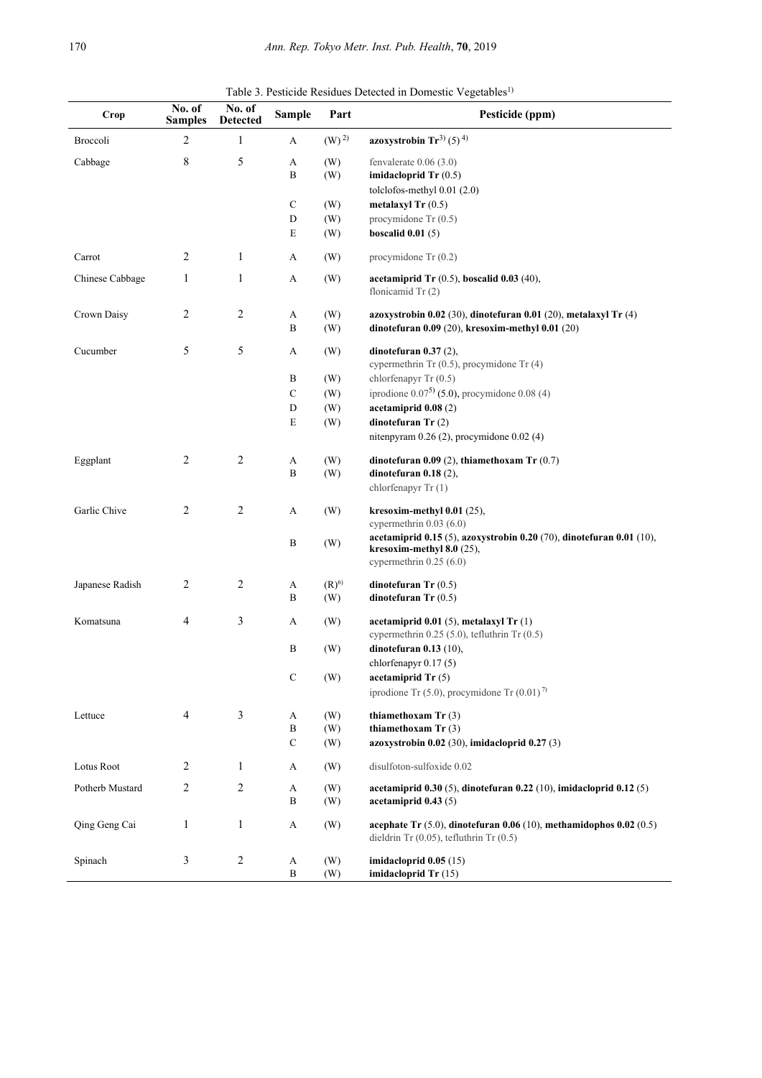Table 3. Pesticide Residues Detected in Domestic Vegetables<sup>1)</sup>

| Crop            | No. of<br><b>Samples</b> | No. of<br><b>Detected</b> | <b>Sample</b> | Part             | Pesticide (ppm)                                                                                                            |
|-----------------|--------------------------|---------------------------|---------------|------------------|----------------------------------------------------------------------------------------------------------------------------|
| Broccoli        | 2                        | $\mathbf{1}$              | A             | $(W)^{2}$        | azoxystrobin $Tr^{3}(5)^{4}$                                                                                               |
| Cabbage         | 8                        | 5                         | A             | (W)              | fenvalerate $0.06$ $(3.0)$                                                                                                 |
|                 |                          |                           | B             | (W)              | imidacloprid $Tr(0.5)$                                                                                                     |
|                 |                          |                           | ${\bf C}$     | (W)              | tolclofos-methyl 0.01 (2.0)<br>metalaxyl Tr $(0.5)$                                                                        |
|                 |                          |                           | D             | (W)              | procymidone Tr (0.5)                                                                                                       |
|                 |                          |                           | E             | (W)              | boscalid $0.01(5)$                                                                                                         |
| Carrot          | 2                        | $\mathbf{1}$              | A             | (W)              | procymidone $Tr(0.2)$                                                                                                      |
| Chinese Cabbage | 1                        | $\mathbf{1}$              | A             | (W)              | acetamiprid Tr $(0.5)$ , boscalid 0.03 $(40)$ ,<br>flonicamid $Tr(2)$                                                      |
| Crown Daisy     | 2                        | 2                         | A             | (W)              | azoxystrobin $0.02$ (30), dinotefuran $0.01$ (20), metalaxyl Tr (4)                                                        |
|                 |                          |                           | $\, {\bf B}$  | (W)              | dinotefuran $0.09(20)$ , kresoxim-methyl $0.01(20)$                                                                        |
| Cucumber        | 5                        | 5                         | A             | (W)              | dinotefuran $0.37(2)$ ,<br>cypermethrin Tr $(0.5)$ , procymidone Tr $(4)$                                                  |
|                 |                          |                           | B             | (W)              | chlorfenapyr Tr (0.5)                                                                                                      |
|                 |                          |                           | $\mathbf C$   | (W)              | iprodione $0.07^5$ (5.0), procymidone 0.08 (4)                                                                             |
|                 |                          |                           | ${\bf D}$     | (W)              | acetamiprid $0.08(2)$                                                                                                      |
|                 |                          |                           | E             | (W)              | dinotefuran $Tr(2)$                                                                                                        |
|                 |                          |                           |               |                  | nitenpyram 0.26 (2), procymidone 0.02 (4)                                                                                  |
| Eggplant        | 2                        | 2                         | A             | (W)              | dinotefuran $0.09(2)$ , thiamethoxam Tr $(0.7)$                                                                            |
|                 |                          |                           | B             | (W)              | dinotefuran $0.18(2)$ ,                                                                                                    |
|                 |                          |                           |               |                  | chlorfenapyr Tr (1)                                                                                                        |
| Garlic Chive    | 2                        | $\overline{c}$            | A             | (W)              | kresoxim-methyl $0.01$ (25),                                                                                               |
|                 |                          |                           |               |                  | cypermethrin $0.03(6.0)$<br>acetamiprid 0.15 (5), azoxystrobin 0.20 (70), dinotefuran 0.01 (10),                           |
|                 |                          |                           | B             | (W)              | kresoxim-methyl $8.0$ (25),<br>cypermethrin $0.25(6.0)$                                                                    |
|                 | 2                        | $\overline{c}$            |               |                  |                                                                                                                            |
| Japanese Radish |                          |                           | A<br>B        | $(R)^{6}$<br>(W) | dinotefuran $Tr(0.5)$<br>dinotefuran $Tr(0.5)$                                                                             |
|                 |                          |                           |               |                  |                                                                                                                            |
| Komatsuna       | 4                        | 3                         | A             | (W)              | acetamiprid $0.01(5)$ , metalaxyl Tr $(1)$<br>cypermethrin $0.25$ (5.0), tefluthrin Tr $(0.5)$                             |
|                 |                          |                           | B             | (W)              | dinotefuran $0.13$ (10),                                                                                                   |
|                 |                          |                           |               |                  | chlorfenapyr $0.17(5)$                                                                                                     |
|                 |                          |                           | $\mathbf C$   | (W)              | acetamiprid $Tr(5)$                                                                                                        |
|                 |                          |                           |               |                  | iprodione Tr $(5.0)$ , procymidone Tr $(0.01)^7$                                                                           |
| Lettuce         | $\overline{4}$           | 3                         | A             | (W)              | thiamethoxam $Tr(3)$                                                                                                       |
|                 |                          |                           | B             | (W)              | thiamethoxam $Tr(3)$                                                                                                       |
|                 |                          |                           | ${\bf C}$     | (W)              | azoxystrobin 0.02 (30), imidacloprid 0.27 (3)                                                                              |
| Lotus Root      | 2                        | 1                         | A             | (W)              | disulfoton-sulfoxide 0.02                                                                                                  |
| Potherb Mustard | 2                        | 2                         | A             | (W)              | acetamiprid $0.30(5)$ , dinotefuran $0.22(10)$ , imidacloprid $0.12(5)$                                                    |
|                 |                          |                           | $\, {\bf B}$  | (W)              | acetamiprid 0.43 (5)                                                                                                       |
| Qing Geng Cai   | $\mathbf{1}$             | $\mathbf{1}$              | A             | (W)              | acephate Tr $(5.0)$ , dinotefuran 0.06 $(10)$ , methamidophos 0.02 $(0.5)$<br>dieldrin Tr $(0.05)$ , tefluthrin Tr $(0.5)$ |
| Spinach         | 3                        | $\overline{c}$            | A             | (W)              | imidacloprid $0.05(15)$                                                                                                    |
|                 |                          |                           | $\, {\bf B}$  | (W)              | imidacloprid Tr (15)                                                                                                       |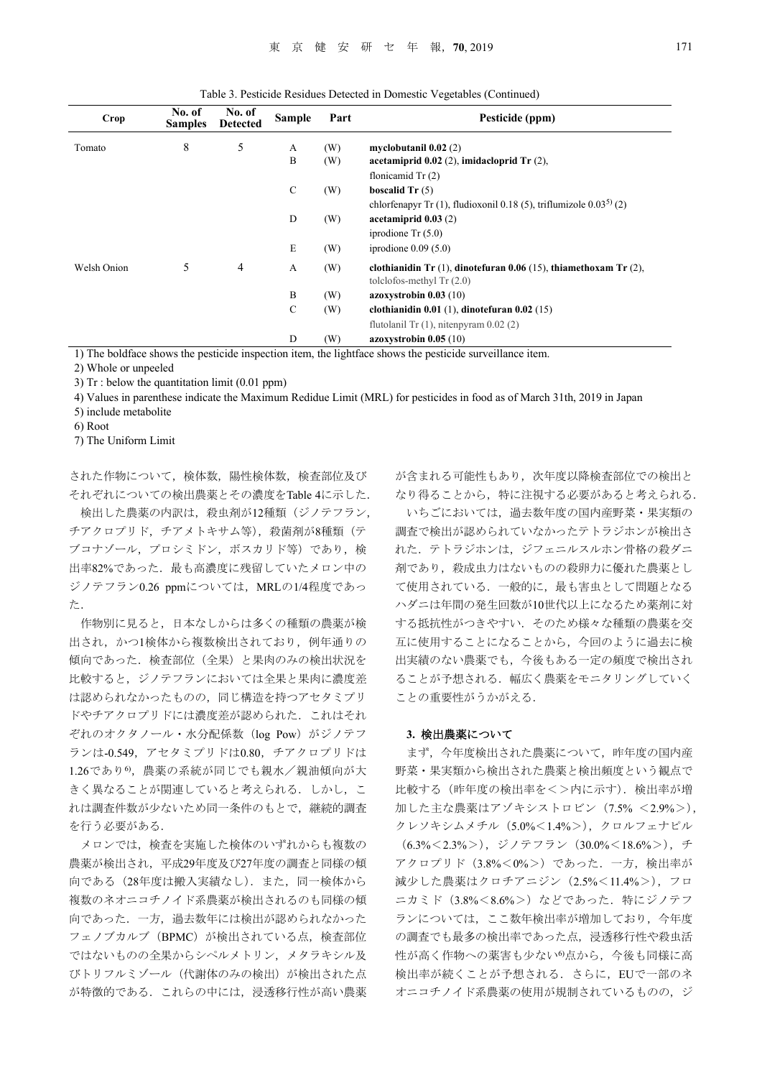Table 3. Pesticide Residues Detected in Domestic Vegetables (Continued)

| Crop        | No. of<br><b>Samples</b> | No. of<br><b>Detected</b> | <b>Sample</b> | Part | Pesticide (ppm)                                                                       |
|-------------|--------------------------|---------------------------|---------------|------|---------------------------------------------------------------------------------------|
| Tomato      | 8                        | 5                         | А             | (W)  | myclobutanil $0.02(2)$                                                                |
|             |                          |                           | B             | (W)  | acetamiprid $0.02$ (2), imidacloprid Tr (2),                                          |
|             |                          |                           |               |      | flonicamid $Tr(2)$                                                                    |
|             |                          |                           | $\mathbf C$   | (W)  | boscalid $Tr(5)$                                                                      |
|             |                          |                           |               |      | chlorfenapyr Tr $(1)$ , fludioxonil 0.18 $(5)$ , triflumizole 0.03 <sup>5</sup> $(2)$ |
|             |                          |                           | D             | (W)  | acetamiprid $0.03(2)$                                                                 |
|             |                          |                           |               |      | iprodione $Tr(5.0)$                                                                   |
|             |                          |                           | E             | (W)  | iprodione $0.09(5.0)$                                                                 |
| Welsh Onion | 5                        | 4                         | A             | (W)  | clothianidin Tr $(1)$ , dinotefuran 0.06 $(15)$ , thiamethoxam Tr $(2)$ ,             |
|             |                          |                           |               |      | tolclofos-methyl $Tr(2.0)$                                                            |
|             |                          |                           | B             | (W)  | azoxystrobin $0.03(10)$                                                               |
|             |                          |                           | $\mathsf{C}$  | (W)  | clothianidin $0.01$ (1), dinotefuran $0.02$ (15)                                      |
|             |                          |                           |               |      | flutolanil Tr $(1)$ , nitenpyram 0.02 $(2)$                                           |
|             |                          |                           | D             | (W)  | azoxystrobin $0.05(10)$                                                               |

1) The boldface shows the pesticide inspection item, the lightface shows the pesticide surveillance item.

2) Whole or unpeeled

3) Tr : below the quantitation limit (0.01 ppm)

4) Values in parenthese indicate the Maximum Redidue Limit (MRL) for pesticides in food as of March 31th, 2019 in Japan

5) include metabolite

6) Root

7) The Uniform Limit

された作物について,検体数,陽性検体数,検査部位及び それぞれについての検出農薬とその濃度をTable 4に示した.

検出した農薬の内訳は,殺虫剤が12種類(ジノテフラン, チアクロプリド,チアメトキサム等),殺菌剤が8種類(テ ブコナゾール,プロシミドン,ボスカリド等)であり,検 出率82%であった. 最も高濃度に残留していたメロン中の ジノテフラン0.26 ppmについては,MRLの1/4程度であっ た.

作物別に見ると,日本なしからは多くの種類の農薬が検 出され,かつ1検体から複数検出されており,例年通りの 傾向であった.検査部位(全果)と果肉のみの検出状況を 比較すると,ジノテフランにおいては全果と果肉に濃度差 は認められなかったものの,同じ構造を持つアセタミプリ ドやチアクロプリドには濃度差が認められた. これはそれ ぞれのオクタノール・水分配係数(log Pow)がジノテフ ランは-0.549,アセタミプリドは0.80,チアクロプリドは 1.26であり6),農薬の系統が同じでも親水/親油傾向が大 きく異なることが関連していると考えられる。しかし、こ れは調査件数が少ないため同一条件のもとで,継続的調査 を行う必要がある.

 メロンでは,検査を実施した検体のいずれからも複数の 農薬が検出され,平成29年度及び27年度の調査と同様の傾 向である(28年度は搬入実績なし).また,同一検体から 複数のネオニコチノイド系農薬が検出されるのも同様の傾 向であった.一方,過去数年には検出が認められなかった フェノブカルブ (BPMC) が検出されている点, 検査部位 ではないものの全果からシペルメトリン,メタラキシル及 びトリフルミゾール(代謝体のみの検出)が検出された点 が特徴的である.これらの中には,浸透移行性が高い農薬 が含まれる可能性もあり、次年度以降検査部位での検出と なり得ることから,特に注視する必要があると考えられる.

 いちごにおいては,過去数年度の国内産野菜・果実類の 調査で検出が認められていなかったテトラジホンが検出さ れた.テトラジホンは,ジフェニルスルホン骨格の殺ダニ 剤であり,殺成虫力はないものの殺卵力に優れた農薬とし て使用されている.一般的に,最も害虫として問題となる ハダニは年間の発生回数が10世代以上になるため薬剤に対 する抵抗性がつきやすい.そのため様々な種類の農薬を交 互に使用することになることから,今回のように過去に検 出実績のない農薬でも,今後もある一定の頻度で検出され ることが予想される.幅広く農薬をモニタリングしていく ことの重要性がうかがえる.

#### **3.** 検出農薬について

まず,今年度検出された農薬について,昨年度の国内産 野菜・果実類から検出された農薬と検出頻度という観点で 比較する(昨年度の検出率を<>内に示す). 検出率が増 加した主な農薬はアゾキシストロビン(7.5% <2.9%>), クレソキシムメチル(5.0%<1.4%>),クロルフェナピル  $(6.3\% < 2.3\%)$ , ジノテフラン  $(30.0\% < 18.6\%)$ ), チ アクロプリド(3.8%<0%>)であった.一方,検出率が 減少した農薬はクロチアニジン(2.5%<11.4%>),フロ ニカミド (3.8%<8.6%>)などであった. 特にジノテフ ランについては,ここ数年検出率が増加しており,今年度 の調査でも最多の検出率であった点、浸透移行性や殺虫活 性が高く作物への薬害も少ないの点から、今後も同様に高 検出率が続くことが予想される.さらに,EUで一部のネ オニコチノイド系農薬の使用が規制されているものの,ジ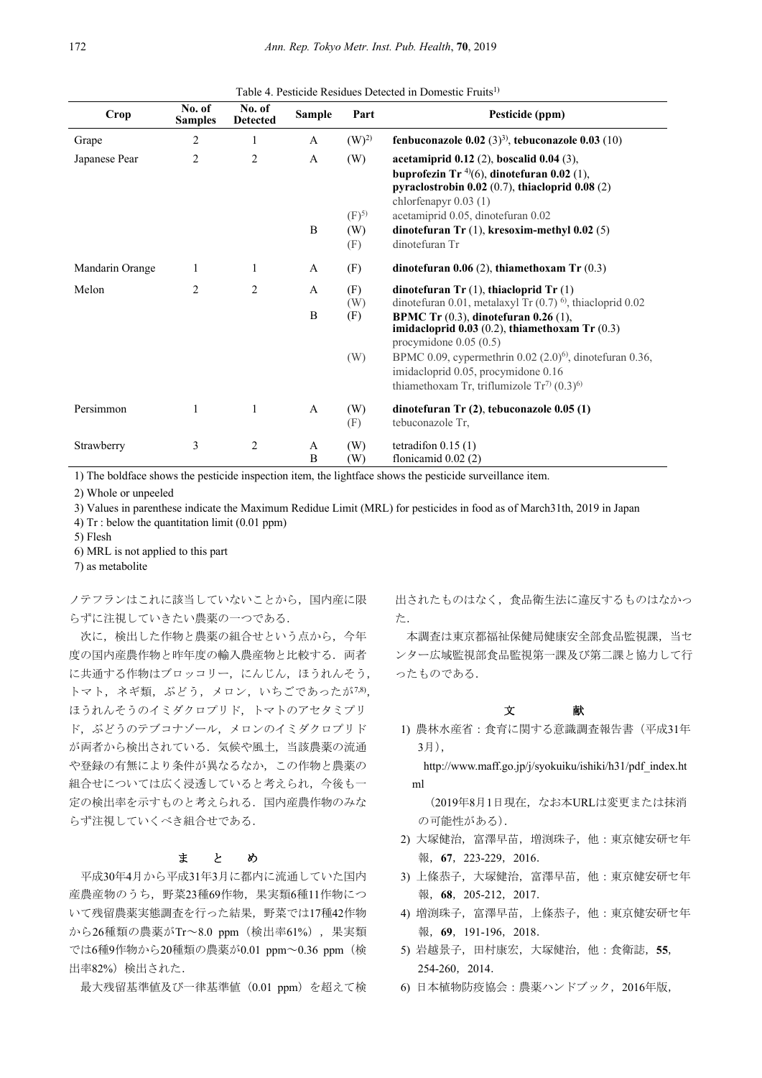|  |  |  | Table 4. Pesticide Residues Detected in Domestic Fruits <sup>1)</sup> |  |  |
|--|--|--|-----------------------------------------------------------------------|--|--|
|--|--|--|-----------------------------------------------------------------------|--|--|

| <b>Crop</b>     | No. of<br><b>Samples</b> | No. of<br><b>Detected</b> | Sample       | Part       | Pesticide (ppm)                                                                                                                                                                         |
|-----------------|--------------------------|---------------------------|--------------|------------|-----------------------------------------------------------------------------------------------------------------------------------------------------------------------------------------|
| Grape           | $\overline{c}$           | 1                         | A            | $(W)^{2)}$ | fenbuconazole $0.02$ (3) <sup>3)</sup> , tebuconazole $0.03$ (10)                                                                                                                       |
| Japanese Pear   | 2                        | $\overline{c}$            | A            | (W)        | acetamiprid $0.12$ (2), boscalid $0.04$ (3),<br>buprofezin Tr <sup>4)</sup> (6), dinotefuran 0.02 (1),<br>pyraclostrobin $0.02$ (0.7), thiacloprid $0.08$ (2)<br>chlorfenapyr $0.03(1)$ |
|                 |                          |                           |              | $(F)^{5}$  | acetamiprid 0.05, dinotefuran 0.02                                                                                                                                                      |
|                 |                          |                           | B            | (W)        | dinotefuran $Tr(1)$ , kresoxim-methyl 0.02 (5)                                                                                                                                          |
|                 |                          |                           |              | (F)        | dinotefuran Tr                                                                                                                                                                          |
| Mandarin Orange | 1                        | 1                         | A            | (F)        | dinotefuran $0.06(2)$ , thiamethoxam Tr $(0.3)$                                                                                                                                         |
| Melon           | $\overline{2}$           | $\overline{c}$            | A            | (F)<br>(W) | dinotefuran $Tr(1)$ , thiacloprid $Tr(1)$<br>dinotefuran 0.01, metalaxyl Tr $(0.7)$ <sup>6</sup> , thiacloprid 0.02                                                                     |
|                 |                          |                           | B            | (F)        | <b>BPMC</b> Tr $(0.3)$ , dinotefuran 0.26 $(1)$ ,<br>imidacloprid $0.03$ (0.2), thiamethoxam Tr (0.3)                                                                                   |
|                 |                          |                           |              | (W)        | procymidone $0.05(0.5)$<br>BPMC 0.09, cypermethrin 0.02 (2.0) <sup>6)</sup> , dinotefuran 0.36,                                                                                         |
|                 |                          |                           |              |            | imidacloprid 0.05, procymidone 0.16                                                                                                                                                     |
|                 |                          |                           |              |            | thiamethoxam Tr, triflumizole $Tr^{7}(0.3)^{6}$                                                                                                                                         |
| Persimmon       | 1                        | 1                         | $\mathbf{A}$ | (W)<br>(F) | dinotefuran $Tr(2)$ , tebuconazole 0.05 $(1)$<br>tebuconazole Tr.                                                                                                                       |
| Strawberry      | 3                        | 2                         | A<br>B       | (W)<br>(W) | tetradifon $0.15(1)$<br>flonicamid $0.02(2)$                                                                                                                                            |

1) The boldface shows the pesticide inspection item, the lightface shows the pesticide surveillance item.

2) Whole or unpeeled

3) Values in parenthese indicate the Maximum Redidue Limit (MRL) for pesticides in food as of March31th, 2019 in Japan

4) Tr : below the quantitation limit (0.01 ppm)

5) Flesh

6) MRL is not applied to this part

7) as metabolite

ノテフランはこれに該当していないことから,国内産に限 らずに注視していきたい農薬の一つである.

 次に,検出した作物と農薬の組合せという点から,今年 度の国内産農作物と昨年度の輸入農産物と比較する. 両者 に共通する作物はブロッコリー,にんじん,ほうれんそう, トマト,ネギ類,ぶどう,メロン,いちごであったが7,8), ほうれんそうのイミダクロプリド,トマトのアセタミプリ ド,ぶどうのテブコナゾール,メロンのイミダクロプリド が両者から検出されている.気候や風土,当該農薬の流通 や登録の有無により条件が異なるなか,この作物と農薬の 組合せについては広く浸透していると考えられ,今後も一 定の検出率を示すものと考えられる.国内産農作物のみな らず注視していくべき組合せである.

### まとめ

平成30年4月から平成31年3月に都内に流通していた国内 産農産物のうち,野菜23種69作物,果実類6種11作物につ いて残留農薬実態調査を行った結果,野菜では17種42作物 から26種類の農薬がTr~8.0 ppm(検出率61%),果実類 では6種9作物から20種類の農薬が0.01 ppm~0.36 ppm(検 出率82%)検出された.

最大残留基準値及び一律基準値(0.01 ppm)を超えて検

出されたものはなく,食品衛生法に違反するものはなかっ た.

本調査は東京都福祉保健局健康安全部食品監視課,当セ ンター広域監視部食品監視第一課及び第二課と協力して行 ったものである.

### 文

1) 農林水産省:食育に関する意識調査報告書(平成31年 3月),

http://www.maff.go.jp/j/syokuiku/ishiki/h31/pdf\_index.ht ml

 (2019年8月1日現在,なお本URLは変更または抹消 の可能性がある).

- 2) 大塚健治, 富澤早苗, 増渕珠子, 他: 東京健安研セ年 報,**67**,223-229,2016.
- 3) 上條恭子,大塚健治,富澤早苗,他:東京健安研セ年 報,**68**,205-212,2017.
- 4) 増渕珠子,富澤早苗,上條恭子,他:東京健安研セ年 報,**69**,191-196,2018.
- 5) 岩越景子,田村康宏,大塚健治,他:食衛誌,**55**, 254-260,2014.
- 6) 日本植物防疫協会:農薬ハンドブック,2016年版,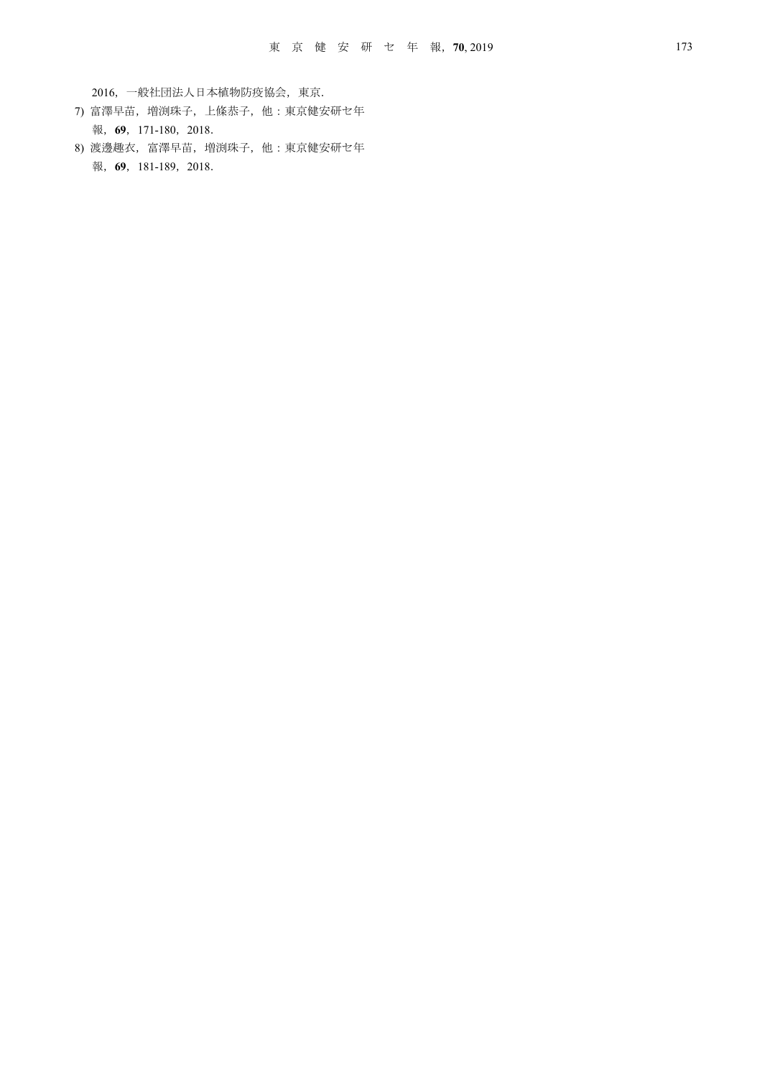2016,一般社団法人日本植物防疫協会,東京.

- 7) 富澤早苗,増渕珠子,上條恭子,他:東京健安研セ年 報,**69**,171-180,2018.
- 8) 渡邊趣衣,富澤早苗,増渕珠子,他:東京健安研セ年 報,**69**,181-189,2018.